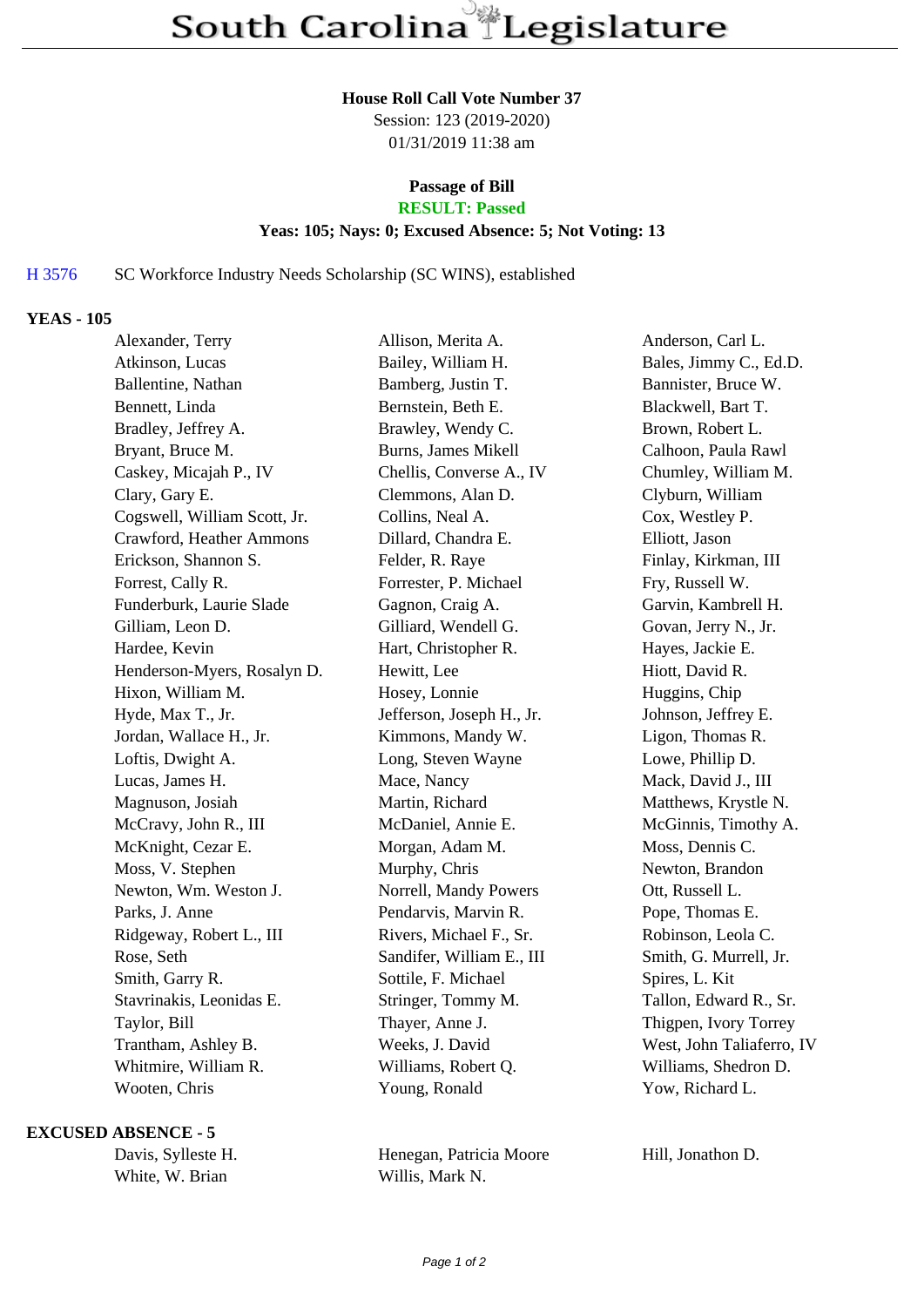#### **House Roll Call Vote Number 37**

Session: 123 (2019-2020) 01/31/2019 11:38 am

## **Passage of Bill**

# **RESULT: Passed**

## **Yeas: 105; Nays: 0; Excused Absence: 5; Not Voting: 13**

## H 3576 SC Workforce Industry Needs Scholarship (SC WINS), established

## **YEAS - 105**

| Alexander, Terry             | Allison, Merita A.        | Anderson, Carl L.         |
|------------------------------|---------------------------|---------------------------|
| Atkinson, Lucas              | Bailey, William H.        | Bales, Jimmy C., Ed.D.    |
| Ballentine, Nathan           | Bamberg, Justin T.        | Bannister, Bruce W.       |
| Bennett, Linda               | Bernstein, Beth E.        | Blackwell, Bart T.        |
| Bradley, Jeffrey A.          | Brawley, Wendy C.         | Brown, Robert L.          |
| Bryant, Bruce M.             | Burns, James Mikell       | Calhoon, Paula Rawl       |
| Caskey, Micajah P., IV       | Chellis, Converse A., IV  | Chumley, William M.       |
| Clary, Gary E.               | Clemmons, Alan D.         | Clyburn, William          |
| Cogswell, William Scott, Jr. | Collins, Neal A.          | Cox, Westley P.           |
| Crawford, Heather Ammons     | Dillard, Chandra E.       | Elliott, Jason            |
| Erickson, Shannon S.         | Felder, R. Raye           | Finlay, Kirkman, III      |
| Forrest, Cally R.            | Forrester, P. Michael     | Fry, Russell W.           |
| Funderburk, Laurie Slade     | Gagnon, Craig A.          | Garvin, Kambrell H.       |
| Gilliam, Leon D.             | Gilliard, Wendell G.      | Govan, Jerry N., Jr.      |
| Hardee, Kevin                | Hart, Christopher R.      | Hayes, Jackie E.          |
| Henderson-Myers, Rosalyn D.  | Hewitt, Lee               | Hiott, David R.           |
| Hixon, William M.            | Hosey, Lonnie             | Huggins, Chip             |
| Hyde, Max T., Jr.            | Jefferson, Joseph H., Jr. | Johnson, Jeffrey E.       |
| Jordan, Wallace H., Jr.      | Kimmons, Mandy W.         | Ligon, Thomas R.          |
| Loftis, Dwight A.            | Long, Steven Wayne        | Lowe, Phillip D.          |
| Lucas, James H.              | Mace, Nancy               | Mack, David J., III       |
| Magnuson, Josiah             | Martin, Richard           | Matthews, Krystle N.      |
| McCravy, John R., III        | McDaniel, Annie E.        | McGinnis, Timothy A.      |
| McKnight, Cezar E.           | Morgan, Adam M.           | Moss, Dennis C.           |
| Moss, V. Stephen             | Murphy, Chris             | Newton, Brandon           |
| Newton, Wm. Weston J.        | Norrell, Mandy Powers     | Ott, Russell L.           |
| Parks, J. Anne               | Pendarvis, Marvin R.      | Pope, Thomas E.           |
| Ridgeway, Robert L., III     | Rivers, Michael F., Sr.   | Robinson, Leola C.        |
| Rose, Seth                   | Sandifer, William E., III | Smith, G. Murrell, Jr.    |
| Smith, Garry R.              | Sottile, F. Michael       | Spires, L. Kit            |
| Stavrinakis, Leonidas E.     | Stringer, Tommy M.        | Tallon, Edward R., Sr.    |
| Taylor, Bill                 | Thayer, Anne J.           | Thigpen, Ivory Torrey     |
| Trantham, Ashley B.          | Weeks, J. David           | West, John Taliaferro, IV |
| Whitmire, William R.         | Williams, Robert Q.       | Williams, Shedron D.      |
| Wooten, Chris                | Young, Ronald             | Yow, Richard L.           |

### **EXCUSED ABSENCE - 5**

|                 | Davis, Sylleste H |
|-----------------|-------------------|
| White, W. Brian |                   |

Henegan, Patricia Moore Hill, Jonathon D. Willis, Mark N.